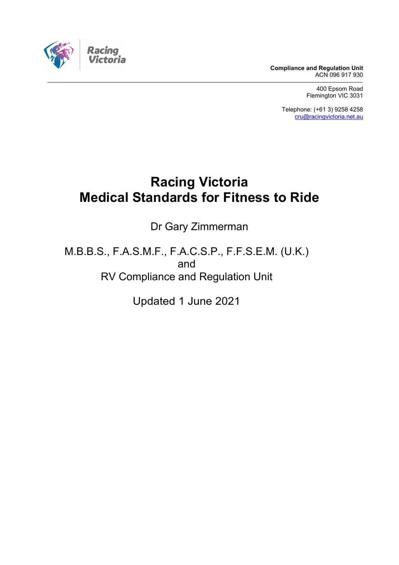**Compliance and Regulation Unit** ACN 096 917 930

> 400 Epsom Road Flemington VIC 3031

Telephone: (+61 3) 9258 4258 [cru@racingvictoria.net.au](mailto:cru@racingvictoria.net.au)

# **Racing Victoria Medical Standards for Fitness to Ride**

Dr Gary Zimmerman

M.B.B.S., F.A.S.M.F., F.A.C.S.P., F.F.S.E.M. (U.K.) and RV Compliance and Regulation Unit

Updated 1 June 2021

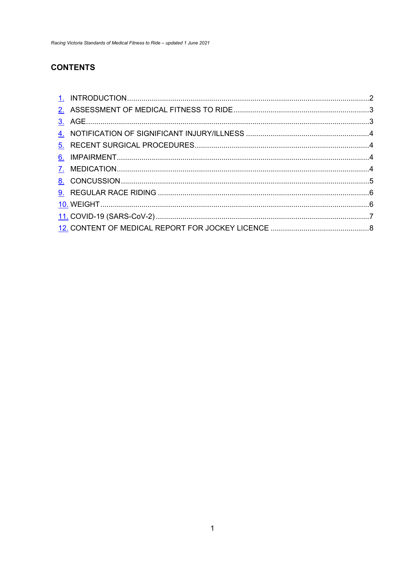# **CONTENTS**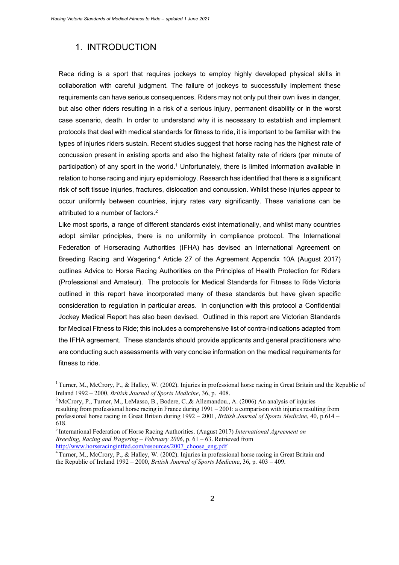### <span id="page-2-0"></span>1. INTRODUCTION

Race riding is a sport that requires jockeys to employ highly developed physical skills in collaboration with careful judgment. The failure of jockeys to successfully implement these requirements can have serious consequences. Riders may not only put their own lives in danger, but also other riders resulting in a risk of a serious injury, permanent disability or in the worst case scenario, death. In order to understand why it is necessary to establish and implement protocols that deal with medical standards for fitness to ride, it is important to be familiar with the types of injuries riders sustain. Recent studies suggest that horse racing has the highest rate of concussion present in existing sports and also the highest fatality rate of riders (per minute of participation) of any sport in the world.<sup>1</sup> Unfortunately, there is limited information available in relation to horse racing and injury epidemiology. Research has identified that there is a significant risk of soft tissue injuries, fractures, dislocation and concussion. Whilst these injuries appear to occur uniformly between countries, injury rates vary significantly. These variations can be attributed to a number of factors.<sup>2</sup>

Like most sports, a range of different standards exist internationally, and whilst many countries adopt similar principles, there is no uniformity in compliance protocol. The International Federation of Horseracing Authorities (IFHA) has devised an International Agreement on Breeding Racing and Wagering.<sup>4</sup> Article 27 of the Agreement Appendix 10A (August 2017) outlines Advice to Horse Racing Authorities on the Principles of Health Protection for Riders (Professional and Amateur). The protocols for Medical Standards for Fitness to Ride Victoria outlined in this report have incorporated many of these standards but have given specific consideration to regulation in particular areas. In conjunction with this protocol a Confidential Jockey Medical Report has also been devised. Outlined in this report are Victorian Standards for Medical Fitness to Ride; this includes a comprehensive list of contra-indications adapted from the IFHA agreement. These standards should provide applicants and general practitioners who are conducting such assessments with very concise information on the medical requirements for fitness to ride.

<sup>&</sup>lt;sup>1</sup> Turner, M., McCrory, P., & Halley, W. (2002). Injuries in professional horse racing in Great Britain and the Republic of Ireland 1992 – 2000, *British Journal of Sports Medicine*, 36, p. 408.

<sup>&</sup>lt;sup>2</sup> McCrory, P., Turner, M., LeMasso, B., Bodere, C., & Allemandou., A. (2006) An analysis of injuries resulting from professional horse racing in France during 1991 – 2001: a comparison with injuries resulting from professional horse racing in Great Britain during 1992 – 2001, *British Journal of Sports Medicine*, 40, p.614 – 618.

<sup>3</sup> International Federation of Horse Racing Authorities. (August 2017) *International Agreement on Breeding, Racing and Wagering – February 2006*, p. 61 – 63. Retrieved from [http://www.horseracingintfed.com/resources/2007\\_choose\\_eng.pdf](http://www.horseracingintfed.com/resources/2007_choose_eng.pdf)

<sup>&</sup>lt;sup>4</sup> Turner, M., McCrory, P., & Halley, W. (2002). Injuries in professional horse racing in Great Britain and the Republic of Ireland 1992 – 2000, *British Journal of Sports Medicine*, 36, p. 403 – 409.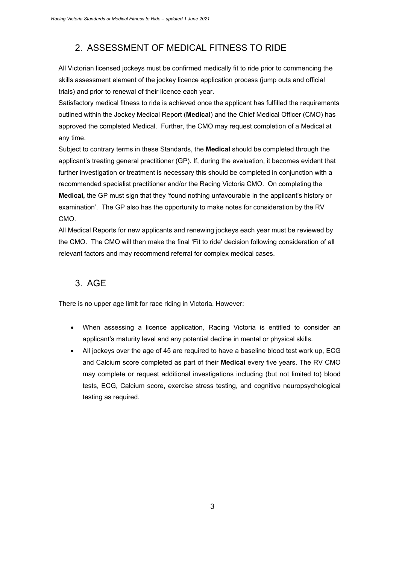# <span id="page-3-0"></span>2. ASSESSMENT OF MEDICAL FITNESS TO RIDE

All Victorian licensed jockeys must be confirmed medically fit to ride prior to commencing the skills assessment element of the jockey licence application process (jump outs and official trials) and prior to renewal of their licence each year.

Satisfactory medical fitness to ride is achieved once the applicant has fulfilled the requirements outlined within the Jockey Medical Report (**Medical**) and the Chief Medical Officer (CMO) has approved the completed Medical. Further, the CMO may request completion of a Medical at any time.

Subject to contrary terms in these Standards, the **Medical** should be completed through the applicant's treating general practitioner (GP). If, during the evaluation, it becomes evident that further investigation or treatment is necessary this should be completed in conjunction with a recommended specialist practitioner and/or the Racing Victoria CMO. On completing the **Medical,** the GP must sign that they 'found nothing unfavourable in the applicant's history or examination'. The GP also has the opportunity to make notes for consideration by the RV CMO.

All Medical Reports for new applicants and renewing jockeys each year must be reviewed by the CMO. The CMO will then make the final 'Fit to ride' decision following consideration of all relevant factors and may recommend referral for complex medical cases.

### <span id="page-3-1"></span>3. AGE

There is no upper age limit for race riding in Victoria. However:

- When assessing a licence application, Racing Victoria is entitled to consider an applicant's maturity level and any potential decline in mental or physical skills.
- All jockeys over the age of 45 are required to have a baseline blood test work up, ECG and Calcium score completed as part of their **Medical** every five years. The RV CMO may complete or request additional investigations including (but not limited to) blood tests, ECG, Calcium score, exercise stress testing, and cognitive neuropsychological testing as required.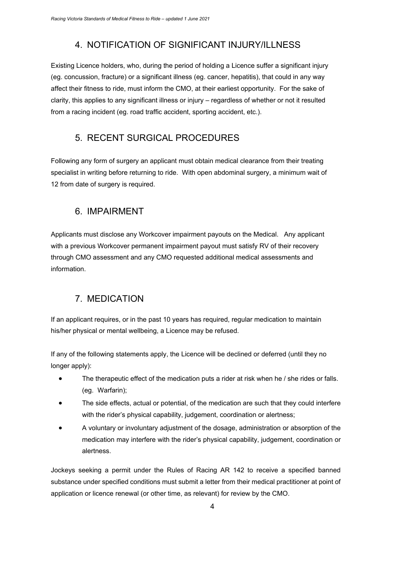### 4. NOTIFICATION OF SIGNIFICANT INJURY/ILLNESS

<span id="page-4-0"></span>Existing Licence holders, who, during the period of holding a Licence suffer a significant injury (eg. concussion, fracture) or a significant illness (eg. cancer, hepatitis), that could in any way affect their fitness to ride, must inform the CMO, at their earliest opportunity. For the sake of clarity, this applies to any significant illness or injury – regardless of whether or not it resulted from a racing incident (eg. road traffic accident, sporting accident, etc.).

# <span id="page-4-1"></span>5. RECENT SURGICAL PROCEDURES

Following any form of surgery an applicant must obtain medical clearance from their treating specialist in writing before returning to ride. With open abdominal surgery, a minimum wait of 12 from date of surgery is required.

### <span id="page-4-2"></span>6. IMPAIRMENT

Applicants must disclose any Workcover impairment payouts on the Medical. Any applicant with a previous Workcover permanent impairment payout must satisfy RV of their recovery through CMO assessment and any CMO requested additional medical assessments and information.

# 7. MEDICATION

<span id="page-4-3"></span>If an applicant requires, or in the past 10 years has required, regular medication to maintain his/her physical or mental wellbeing, a Licence may be refused.

If any of the following statements apply, the Licence will be declined or deferred (until they no longer apply):

- The therapeutic effect of the medication puts a rider at risk when he / she rides or falls. (eg. Warfarin);
- The side effects, actual or potential, of the medication are such that they could interfere with the rider's physical capability, judgement, coordination or alertness;
- A voluntary or involuntary adjustment of the dosage, administration or absorption of the medication may interfere with the rider's physical capability, judgement, coordination or alertness.

Jockeys seeking a permit under the Rules of Racing AR 142 to receive a specified banned substance under specified conditions must submit a letter from their medical practitioner at point of application or licence renewal (or other time, as relevant) for review by the CMO.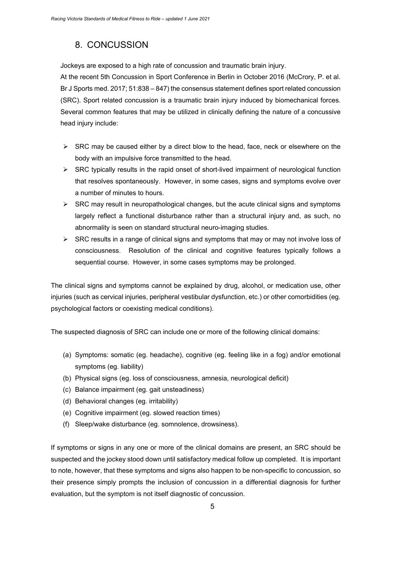# <span id="page-5-0"></span>8. CONCUSSION

Jockeys are exposed to a high rate of concussion and traumatic brain injury.

At the recent 5th Concussion in Sport Conference in Berlin in October 2016 (McCrory, P. et al. Br J Sports med. 2017; 51:838 – 847) the consensus statement defines sport related concussion (SRC). Sport related concussion is a traumatic brain injury induced by biomechanical forces. Several common features that may be utilized in clinically defining the nature of a concussive head injury include:

- $\triangleright$  SRC may be caused either by a direct blow to the head, face, neck or elsewhere on the body with an impulsive force transmitted to the head.
- $\triangleright$  SRC typically results in the rapid onset of short-lived impairment of neurological function that resolves spontaneously. However, in some cases, signs and symptoms evolve over a number of minutes to hours.
- $\triangleright$  SRC may result in neuropathological changes, but the acute clinical signs and symptoms largely reflect a functional disturbance rather than a structural injury and, as such, no abnormality is seen on standard structural neuro-imaging studies.
- $\triangleright$  SRC results in a range of clinical signs and symptoms that may or may not involve loss of consciousness. Resolution of the clinical and cognitive features typically follows a sequential course. However, in some cases symptoms may be prolonged.

The clinical signs and symptoms cannot be explained by drug, alcohol, or medication use, other injuries (such as cervical injuries, peripheral vestibular dysfunction, etc.) or other comorbidities (eg. psychological factors or coexisting medical conditions).

The suspected diagnosis of SRC can include one or more of the following clinical domains:

- (a) Symptoms: somatic (eg. headache), cognitive (eg. feeling like in a fog) and/or emotional symptoms (eg. liability)
- (b) Physical signs (eg. loss of consciousness, amnesia, neurological deficit)
- (c) Balance impairment (eg. gait unsteadiness)
- (d) Behavioral changes (eg. irritability)
- (e) Cognitive impairment (eg. slowed reaction times)
- (f) Sleep/wake disturbance (eg. somnolence, drowsiness).

If symptoms or signs in any one or more of the clinical domains are present, an SRC should be suspected and the jockey stood down until satisfactory medical follow up completed. It is important to note, however, that these symptoms and signs also happen to be non-specific to concussion, so their presence simply prompts the inclusion of concussion in a differential diagnosis for further evaluation, but the symptom is not itself diagnostic of concussion.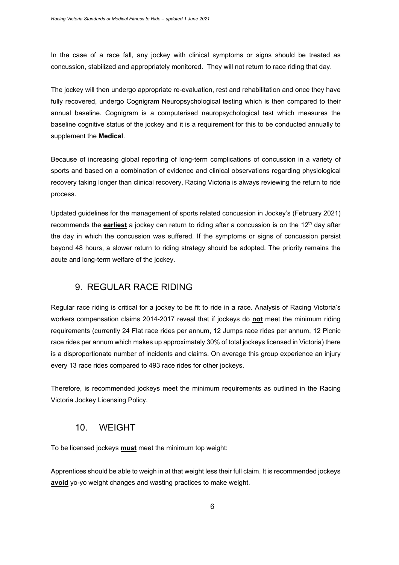In the case of a race fall, any jockey with clinical symptoms or signs should be treated as concussion, stabilized and appropriately monitored. They will not return to race riding that day.

The jockey will then undergo appropriate re-evaluation, rest and rehabilitation and once they have fully recovered, undergo Cognigram Neuropsychological testing which is then compared to their annual baseline. Cognigram is a computerised neuropsychological test which measures the baseline cognitive status of the jockey and it is a requirement for this to be conducted annually to supplement the **Medical**.

Because of increasing global reporting of long-term complications of concussion in a variety of sports and based on a combination of evidence and clinical observations regarding physiological recovery taking longer than clinical recovery, Racing Victoria is always reviewing the return to ride process.

Updated guidelines for the management of sports related concussion in Jockey's (February 2021) recommends the **earliest** a jockey can return to riding after a concussion is on the 12th day after the day in which the concussion was suffered. If the symptoms or signs of concussion persist beyond 48 hours, a slower return to riding strategy should be adopted. The priority remains the acute and long-term welfare of the jockey.

### <span id="page-6-0"></span>9. REGULAR RACE RIDING

Regular race riding is critical for a jockey to be fit to ride in a race. Analysis of Racing Victoria's workers compensation claims 2014-2017 reveal that if jockeys do **not** meet the minimum riding requirements (currently 24 Flat race rides per annum, 12 Jumps race rides per annum, 12 Picnic race rides per annum which makes up approximately 30% of total jockeys licensed in Victoria) there is a disproportionate number of incidents and claims. On average this group experience an injury every 13 race rides compared to 493 race rides for other jockeys.

Therefore, is recommended jockeys meet the minimum requirements as outlined in the Racing Victoria Jockey Licensing Policy.

#### 10. WEIGHT

<span id="page-6-1"></span>To be licensed jockeys **must** meet the minimum top weight:

Apprentices should be able to weigh in at that weight less their full claim. It is recommended jockeys **avoid** yo-yo weight changes and wasting practices to make weight.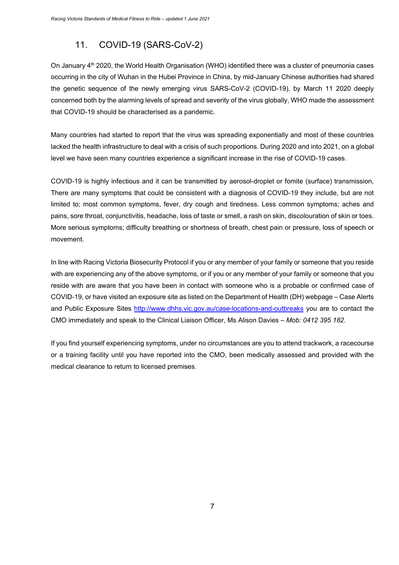## 11. COVID-19 (SARS-CoV-2)

<span id="page-7-0"></span>On January 4<sup>th</sup> 2020, the World Health Organisation (WHO) identified there was a cluster of pneumonia cases occurring in the city of Wuhan in the Hubei Province in China, by mid-January Chinese authorities had shared the genetic sequence of the newly emerging virus SARS-CoV-2 (COVID-19), by March 11 2020 deeply concerned both by the alarming levels of spread and severity of the virus globally, WHO made the assessment that COVID-19 should be characterised as a pandemic.

Many countries had started to report that the virus was spreading exponentially and most of these countries lacked the health infrastructure to deal with a crisis of such proportions. During 2020 and into 2021, on a global level we have seen many countries experience a significant increase in the rise of COVID-19 cases.

COVID-19 is highly infectious and it can be transmitted by aerosol-droplet or fomite (surface) transmission, There are many symptoms that could be consistent with a diagnosis of COVID-19 they include, but are not limited to; most common symptoms, fever, dry cough and tiredness. Less common symptoms; aches and pains, sore throat, conjunctivitis, headache, loss of taste or smell, a rash on skin, discolouration of skin or toes. More serious symptoms; difficulty breathing or shortness of breath, chest pain or pressure, loss of speech or movement.

In line with Racing Victoria Biosecurity Protocol if you or any member of your family or someone that you reside with are experiencing any of the above symptoms, or if you or any member of your family or someone that you reside with are aware that you have been in contact with someone who is a probable or confirmed case of COVID-19, or have visited an exposure site as listed on the Department of Health (DH) webpage – Case Alerts and Public Exposure Sites<http://www.dhhs.vic.gov.au/case-locations-and-outbreaks> you are to contact the CMO immediately and speak to the Clinical Liaison Officer, Ms Alison Davies – *Mob: 0412 395 182.*

If you find yourself experiencing symptoms, under no circumstances are you to attend trackwork, a racecourse or a training facility until you have reported into the CMO, been medically assessed and provided with the medical clearance to return to licensed premises.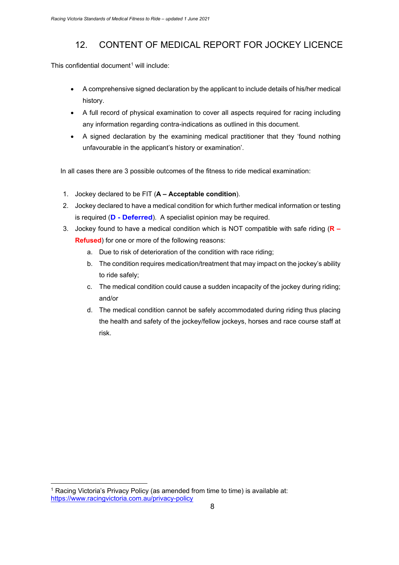## 12. CONTENT OF MEDICAL REPORT FOR JOCKEY LICENCE

<span id="page-8-0"></span>This confidential document<sup>1</sup> will include:

- A comprehensive signed declaration by the applicant to include details of his/her medical history.
- A full record of physical examination to cover all aspects required for racing including any information regarding contra-indications as outlined in this document.
- A signed declaration by the examining medical practitioner that they 'found nothing unfavourable in the applicant's history or examination'.

In all cases there are 3 possible outcomes of the fitness to ride medical examination:

- 1. Jockey declared to be FIT (**A – Acceptable condition**).
- 2. Jockey declared to have a medical condition for which further medical information or testing is required (**D - Deferred**). A specialist opinion may be required.
- 3. Jockey found to have a medical condition which is NOT compatible with safe riding (**R – Refused**) for one or more of the following reasons:
	- a. Due to risk of deterioration of the condition with race riding;
	- b. The condition requires medication/treatment that may impact on the jockey's ability to ride safely;
	- c. The medical condition could cause a sudden incapacity of the jockey during riding; and/or
	- d. The medical condition cannot be safely accommodated during riding thus placing the health and safety of the jockey/fellow jockeys, horses and race course staff at risk.

<span id="page-8-1"></span><sup>&</sup>lt;sup>1</sup> Racing Victoria's Privacy Policy (as amended from time to time) is available at: https://www.racingvictoria.com.au/privacy-policy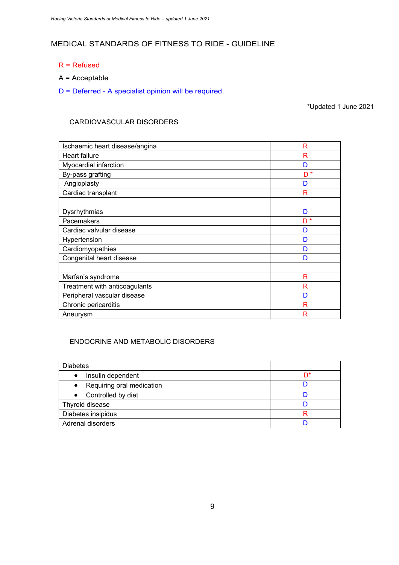### MEDICAL STANDARDS OF FITNESS TO RIDE - GUIDELINE

- R = Refused
- A = Acceptable
- D = Deferred A specialist opinion will be required.

\*Updated 1 June 2021

#### CARDIOVASCULAR DISORDERS

| Ischaemic heart disease/angina | R              |
|--------------------------------|----------------|
| <b>Heart failure</b>           | R              |
| Myocardial infarction          | D              |
| By-pass grafting               | D <sup>*</sup> |
| Angioplasty                    | D              |
| Cardiac transplant             | R              |
|                                |                |
| Dysrhythmias                   | D              |
| Pacemakers                     | D <sup>*</sup> |
| Cardiac valvular disease       | D              |
| Hypertension                   | D              |
| Cardiomyopathies               | D              |
| Congenital heart disease       | D              |
|                                |                |
| Marfan's syndrome              | R              |
| Treatment with anticoagulants  | R              |
| Peripheral vascular disease    | D              |
| Chronic pericarditis           | R              |
| Aneurysm                       | R              |

#### ENDOCRINE AND METABOLIC DISORDERS

| <b>Diabetes</b>                        |    |
|----------------------------------------|----|
| Insulin dependent<br>$\bullet$         | n* |
| Requiring oral medication<br>$\bullet$ |    |
| • Controlled by diet                   |    |
| Thyroid disease                        |    |
| Diabetes insipidus                     |    |
| Adrenal disorders                      |    |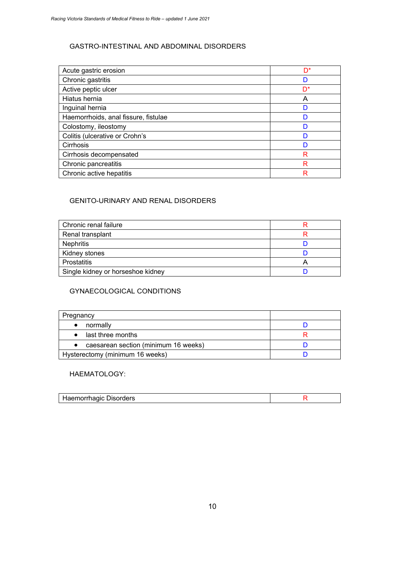#### GASTRO-INTESTINAL AND ABDOMINAL DISORDERS

| Acute gastric erosion                | D* |
|--------------------------------------|----|
| Chronic gastritis                    | n  |
| Active peptic ulcer                  | D* |
| Hiatus hernia                        | A  |
| Inguinal hernia                      |    |
| Haemorrhoids, anal fissure, fistulae |    |
| Colostomy, ileostomy                 |    |
| Colitis (ulcerative or Crohn's       |    |
| Cirrhosis                            |    |
| Cirrhosis decompensated              | R  |
| Chronic pancreatitis                 | R  |
| Chronic active hepatitis             | R  |

#### GENITO-URINARY AND RENAL DISORDERS

| Chronic renal failure             |  |
|-----------------------------------|--|
| Renal transplant                  |  |
| <b>Nephritis</b>                  |  |
| Kidney stones                     |  |
| <b>Prostatitis</b>                |  |
| Single kidney or horseshoe kidney |  |

#### GYNAECOLOGICAL CONDITIONS

| Pregnancy                            |  |  |
|--------------------------------------|--|--|
| normally                             |  |  |
| last three months                    |  |  |
| caesarean section (minimum 16 weeks) |  |  |
| Hysterectomy (minimum 16 weeks)      |  |  |

#### HAEMATOLOGY:

| Haemorrhagic Disorders |  |
|------------------------|--|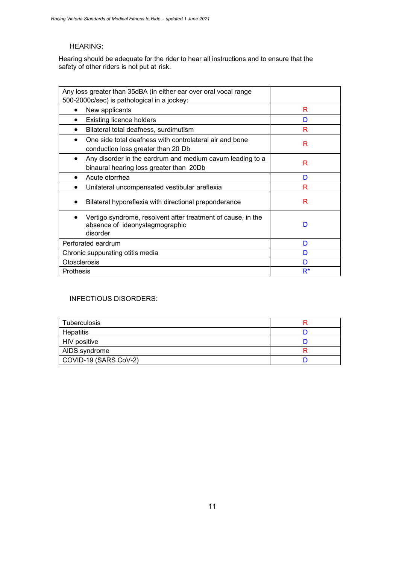#### HEARING:

Hearing should be adequate for the rider to hear all instructions and to ensure that the safety of other riders is not put at risk.

| Any loss greater than 35dBA (in either ear over oral vocal range                                                  |       |
|-------------------------------------------------------------------------------------------------------------------|-------|
| 500-2000c/sec) is pathological in a jockey:                                                                       |       |
| New applicants<br>$\bullet$                                                                                       | R     |
| <b>Existing licence holders</b>                                                                                   | D     |
| Bilateral total deafness, surdimutism                                                                             | R     |
| One side total deafness with controlateral air and bone<br>conduction loss greater than 20 Db                     | R     |
| Any disorder in the eardrum and medium cavum leading to a<br>$\bullet$<br>binaural hearing loss greater than 20Db | R     |
| Acute otorrhea                                                                                                    | D     |
| Unilateral uncompensated vestibular areflexia                                                                     | R     |
| Bilateral hyporeflexia with directional preponderance                                                             | R     |
| Vertigo syndrome, resolvent after treatment of cause, in the<br>absence of ideonystagmographic<br>disorder        | D     |
| Perforated eardrum                                                                                                | D     |
| Chronic suppurating otitis media                                                                                  | D     |
| <b>Otosclerosis</b>                                                                                               | D     |
| Prothesis                                                                                                         | $R^*$ |

#### INFECTIOUS DISORDERS:

| <b>Tuberculosis</b>   |  |
|-----------------------|--|
| Hepatitis             |  |
| HIV positive          |  |
| AIDS syndrome         |  |
| COVID-19 (SARS CoV-2) |  |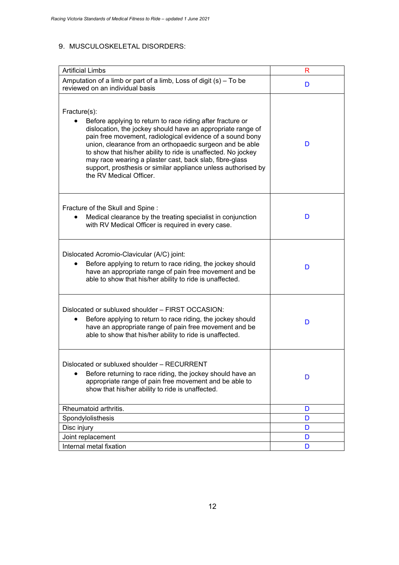#### 9. MUSCULOSKELETAL DISORDERS:

| <b>Artificial Limbs</b>                                                                                                                                                                                                                                                                                                                                                                                                                                                                    | R |
|--------------------------------------------------------------------------------------------------------------------------------------------------------------------------------------------------------------------------------------------------------------------------------------------------------------------------------------------------------------------------------------------------------------------------------------------------------------------------------------------|---|
| Amputation of a limb or part of a limb, Loss of digit (s) – To be<br>reviewed on an individual basis                                                                                                                                                                                                                                                                                                                                                                                       | D |
| Fracture(s):<br>Before applying to return to race riding after fracture or<br>dislocation, the jockey should have an appropriate range of<br>pain free movement, radiological evidence of a sound bony<br>union, clearance from an orthopaedic surgeon and be able<br>to show that his/her ability to ride is unaffected. No jockey<br>may race wearing a plaster cast, back slab, fibre-glass<br>support, prosthesis or similar appliance unless authorised by<br>the RV Medical Officer. | D |
| Fracture of the Skull and Spine:<br>Medical clearance by the treating specialist in conjunction<br>with RV Medical Officer is required in every case.                                                                                                                                                                                                                                                                                                                                      | D |
| Dislocated Acromio-Clavicular (A/C) joint:<br>Before applying to return to race riding, the jockey should<br>have an appropriate range of pain free movement and be<br>able to show that his/her ability to ride is unaffected.                                                                                                                                                                                                                                                            | D |
| Dislocated or subluxed shoulder - FIRST OCCASION:<br>Before applying to return to race riding, the jockey should<br>$\bullet$<br>have an appropriate range of pain free movement and be<br>able to show that his/her ability to ride is unaffected.                                                                                                                                                                                                                                        | D |
| Dislocated or subluxed shoulder - RECURRENT<br>Before returning to race riding, the jockey should have an<br>appropriate range of pain free movement and be able to<br>show that his/her ability to ride is unaffected.                                                                                                                                                                                                                                                                    | D |
| Rheumatoid arthritis.                                                                                                                                                                                                                                                                                                                                                                                                                                                                      | D |
| Spondylolisthesis                                                                                                                                                                                                                                                                                                                                                                                                                                                                          | D |
| Disc injury                                                                                                                                                                                                                                                                                                                                                                                                                                                                                | D |
| Joint replacement                                                                                                                                                                                                                                                                                                                                                                                                                                                                          | D |
| Internal metal fixation                                                                                                                                                                                                                                                                                                                                                                                                                                                                    | D |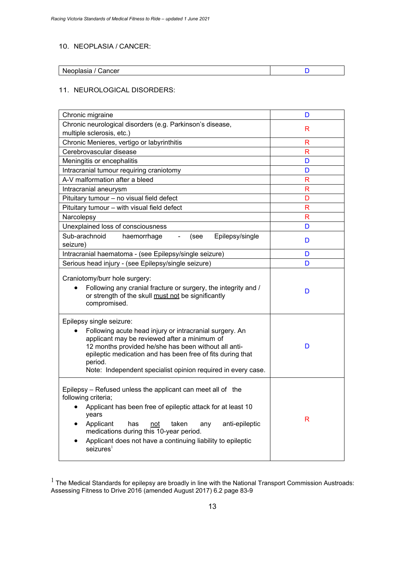#### 10. NEOPLASIA / CANCER:

| stooplasie i<br>Cancer<br>neoplasia |  |
|-------------------------------------|--|

#### 11. NEUROLOGICAL DISORDERS:

| Chronic migraine                                                                                                                                                                                                                                                                                                                                           | D            |
|------------------------------------------------------------------------------------------------------------------------------------------------------------------------------------------------------------------------------------------------------------------------------------------------------------------------------------------------------------|--------------|
| Chronic neurological disorders (e.g. Parkinson's disease,<br>multiple sclerosis, etc.)                                                                                                                                                                                                                                                                     | R.           |
| Chronic Menieres, vertigo or labyrinthitis                                                                                                                                                                                                                                                                                                                 | R            |
| Cerebrovascular disease                                                                                                                                                                                                                                                                                                                                    | $\mathsf{R}$ |
| Meningitis or encephalitis                                                                                                                                                                                                                                                                                                                                 | D            |
| Intracranial tumour requiring craniotomy                                                                                                                                                                                                                                                                                                                   | D            |
| A-V malformation after a bleed                                                                                                                                                                                                                                                                                                                             | R            |
| Intracranial aneurysm                                                                                                                                                                                                                                                                                                                                      | R            |
| Pituitary tumour - no visual field defect                                                                                                                                                                                                                                                                                                                  | D            |
| Pituitary tumour - with visual field defect                                                                                                                                                                                                                                                                                                                | R            |
| Narcolepsy                                                                                                                                                                                                                                                                                                                                                 | R            |
| Unexplained loss of consciousness                                                                                                                                                                                                                                                                                                                          | D            |
| Sub-arachnoid<br>Epilepsy/single<br>haemorrhage<br>(see<br>$\blacksquare$<br>seizure)                                                                                                                                                                                                                                                                      | D            |
| Intracranial haematoma - (see Epilepsy/single seizure)                                                                                                                                                                                                                                                                                                     | D            |
| Serious head injury - (see Epilepsy/single seizure)                                                                                                                                                                                                                                                                                                        | D            |
| Craniotomy/burr hole surgery:<br>Following any cranial fracture or surgery, the integrity and /<br>or strength of the skull must not be significantly<br>compromised.                                                                                                                                                                                      | D            |
| Epilepsy single seizure:<br>Following acute head injury or intracranial surgery. An<br>applicant may be reviewed after a minimum of<br>12 months provided he/she has been without all anti-<br>epileptic medication and has been free of fits during that<br>period.<br>Note: Independent specialist opinion required in every case.                       | D            |
| Epilepsy – Refused unless the applicant can meet all of the<br>following criteria;<br>Applicant has been free of epileptic attack for at least 10<br>years<br>Applicant<br>has<br>taken<br>anti-epileptic<br>not<br>any<br>medications during this 10-year period.<br>Applicant does not have a continuing liability to epileptic<br>seizures <sup>1</sup> | R            |

 $^1$  The Medical Standards for epilepsy are broadly in line with the National Transport Commission Austroads: Assessing Fitness to Drive 2016 (amended August 2017) 6.2 page 83-9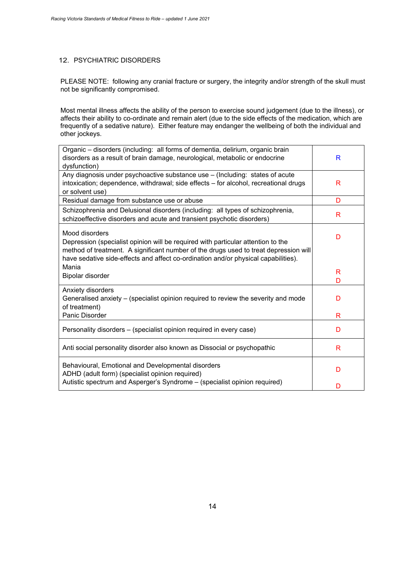#### 12. PSYCHIATRIC DISORDERS

PLEASE NOTE: following any cranial fracture or surgery, the integrity and/or strength of the skull must not be significantly compromised.

Most mental illness affects the ability of the person to exercise sound judgement (due to the illness), or affects their ability to co-ordinate and remain alert (due to the side effects of the medication, which are frequently of a sedative nature). Either feature may endanger the wellbeing of both the individual and other jockeys.

| Organic - disorders (including: all forms of dementia, delirium, organic brain<br>disorders as a result of brain damage, neurological, metabolic or endocrine<br>dysfunction)                                                                                                    | R |
|----------------------------------------------------------------------------------------------------------------------------------------------------------------------------------------------------------------------------------------------------------------------------------|---|
| Any diagnosis under psychoactive substance use - (Including: states of acute<br>intoxication; dependence, withdrawal; side effects - for alcohol, recreational drugs<br>or solvent use)                                                                                          | R |
| Residual damage from substance use or abuse                                                                                                                                                                                                                                      | D |
| Schizophrenia and Delusional disorders (including: all types of schizophrenia,<br>schizoeffective disorders and acute and transient psychotic disorders)                                                                                                                         | R |
| Mood disorders<br>Depression (specialist opinion will be required with particular attention to the<br>method of treatment. A significant number of the drugs used to treat depression will<br>have sedative side-effects and affect co-ordination and/or physical capabilities). | D |
| Mania                                                                                                                                                                                                                                                                            | R |
| Bipolar disorder                                                                                                                                                                                                                                                                 | D |
| Anxiety disorders<br>Generalised anxiety – (specialist opinion required to review the severity and mode<br>of treatment)                                                                                                                                                         | D |
| Panic Disorder                                                                                                                                                                                                                                                                   | R |
| Personality disorders - (specialist opinion required in every case)                                                                                                                                                                                                              | D |
| Anti social personality disorder also known as Dissocial or psychopathic                                                                                                                                                                                                         | R |
| Behavioural, Emotional and Developmental disorders<br>ADHD (adult form) (specialist opinion required)                                                                                                                                                                            | D |
| Autistic spectrum and Asperger's Syndrome - (specialist opinion required)                                                                                                                                                                                                        | D |